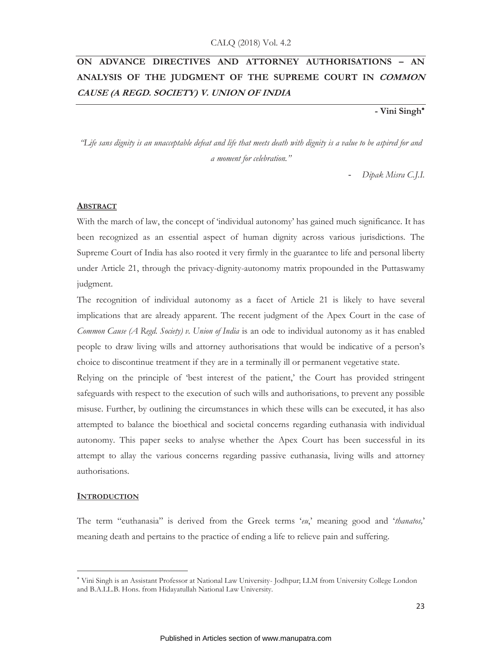# **ON ADVANCE DIRECTIVES AND ATTORNEY AUTHORISATIONS – AN ANALYSIS OF THE JUDGMENT OF THE SUPREME COURT IN COMMON CAUSE (A REGD. SOCIETY) V. UNION OF INDIA**

**- Vini Singh**\*

*"Life sans dignity is an unacceptable defeat and life that meets death with dignity is a value to be aspired for and a moment for celebration."*

- *Dipak Misra C.J.I.* 

#### **ABSTRACT**

With the march of law, the concept of 'individual autonomy' has gained much significance. It has been recognized as an essential aspect of human dignity across various jurisdictions. The Supreme Court of India has also rooted it very firmly in the guarantee to life and personal liberty under Article 21, through the privacy-dignity-autonomy matrix propounded in the Puttaswamy judgment.

The recognition of individual autonomy as a facet of Article 21 is likely to have several implications that are already apparent. The recent judgment of the Apex Court in the case of *Common Cause (A Regd. Society) v. Union of India* is an ode to individual autonomy as it has enabled people to draw living wills and attorney authorisations that would be indicative of a person's choice to discontinue treatment if they are in a terminally ill or permanent vegetative state.

Relying on the principle of 'best interest of the patient,' the Court has provided stringent safeguards with respect to the execution of such wills and authorisations, to prevent any possible misuse. Further, by outlining the circumstances in which these wills can be executed, it has also attempted to balance the bioethical and societal concerns regarding euthanasia with individual autonomy. This paper seeks to analyse whether the Apex Court has been successful in its attempt to allay the various concerns regarding passive euthanasia, living wills and attorney authorisations.

#### **INTRODUCTION**

 $\overline{a}$ 

The term "euthanasia" is derived from the Greek terms '*eu*,' meaning good and '*thanatos,*' meaning death and pertains to the practice of ending a life to relieve pain and suffering.

<sup>\*</sup> Vini Singh is an Assistant Professor at National Law University- Jodhpur; LLM from University College London and B.A.LL.B. Hons. from Hidayatullah National Law University.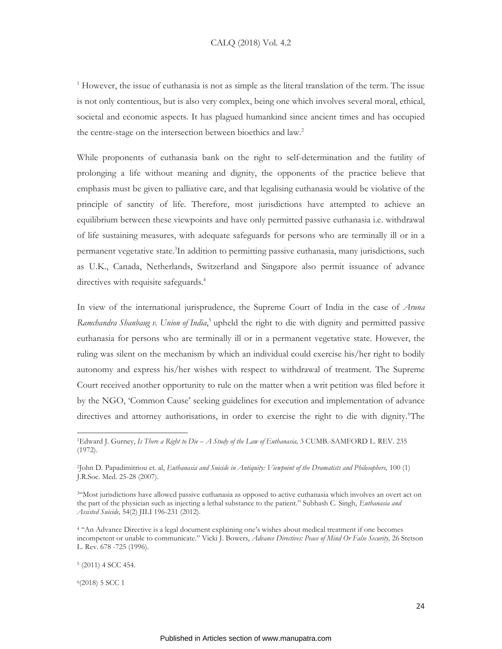<sup>1</sup> However, the issue of euthanasia is not as simple as the literal translation of the term. The issue is not only contentious, but is also very complex, being one which involves several moral, ethical, societal and economic aspects. It has plagued humankind since ancient times and has occupied the centre-stage on the intersection between bioethics and law.<sup>2</sup>

While proponents of euthanasia bank on the right to self-determination and the futility of prolonging a life without meaning and dignity, the opponents of the practice believe that emphasis must be given to palliative care, and that legalising euthanasia would be violative of the principle of sanctity of life. Therefore, most jurisdictions have attempted to achieve an equilibrium between these viewpoints and have only permitted passive euthanasia i.e. withdrawal of life sustaining measures, with adequate safeguards for persons who are terminally ill or in a permanent vegetative state.<sup>3</sup>In addition to permitting passive euthanasia, many jurisdictions, such as U.K., Canada, Netherlands, Switzerland and Singapore also permit issuance of advance directives with requisite safeguards.<sup>4</sup>

In view of the international jurisprudence, the Supreme Court of India in the case of *Aruna*  Ramchandra Shanbaug v. Union of India,<sup>5</sup> upheld the right to die with dignity and permitted passive euthanasia for persons who are terminally ill or in a permanent vegetative state. However, the ruling was silent on the mechanism by which an individual could exercise his/her right to bodily autonomy and express his/her wishes with respect to withdrawal of treatment. The Supreme Court received another opportunity to rule on the matter when a writ petition was filed before it by the NGO, 'Common Cause' seeking guidelines for execution and implementation of advance directives and attorney authorisations, in order to exercise the right to die with dignity. The

5 (2011) 4 SCC 454.

6 (2018) 5 SCC 1

<sup>1</sup>Edward J. Gurney, *Is There a Right to Die – A Study of the Law of Euthanasia,* 3 CUMB.-SAMFORD L. REV. 235 (1972).

<sup>2</sup> John D. Papadimitriou et. al, *Euthanasia and Suicide in Antiquity: Viewpoint of the Dramatists and Philosophers,* 100 (1) J.R.Soc. Med. 25-28 (2007).

<sup>&</sup>lt;sup>3</sup>'Most jurisdictions have allowed passive euthanasia as opposed to active euthanasia which involves an overt act on the part of the physician such as injecting a lethal substance to the patient." Subhash C. Singh, *Euthanasia and Assisted Suicide,* 54(2) JILI 196-231 (2012).

<sup>4</sup> "An Advance Directive is a legal document explaining one's wishes about medical treatment if one becomes incompetent or unable to communicate." Vicki J. Bowers, *Advance Directives: Peace of Mind Or False Security,* 26 Stetson L. Rev. 678 -725 (1996).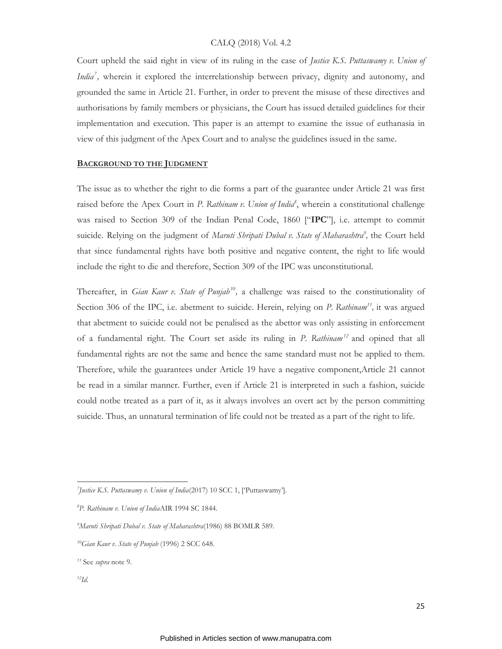Court upheld the said right in view of its ruling in the case of *Justice K.S. Puttaswamy v. Union of*  India<sup>7</sup>, wherein it explored the interrelationship between privacy, dignity and autonomy, and grounded the same in Article 21. Further, in order to prevent the misuse of these directives and authorisations by family members or physicians, the Court has issued detailed guidelines for their implementation and execution. This paper is an attempt to examine the issue of euthanasia in view of this judgment of the Apex Court and to analyse the guidelines issued in the same.

#### **BACKGROUND TO THE JUDGMENT**

The issue as to whether the right to die forms a part of the guarantee under Article 21 was first raised before the Apex Court in *P. Rathinam v. Union of India<sup>8</sup>* , wherein a constitutional challenge was raised to Section 309 of the Indian Penal Code, 1860 ["**IPC**"], i.e. attempt to commit suicide. Relying on the judgment of *Maruti Shripati Dubal v. State of Maharashtra<sup>9</sup>*, the Court held that since fundamental rights have both positive and negative content, the right to life would include the right to die and therefore, Section 309 of the IPC was unconstitutional.

Thereafter, in *Gian Kaur v. State of Punjab<sup>10</sup>*, a challenge was raised to the constitutionality of Section 306 of the IPC, i.e. abetment to suicide. Herein, relying on *P. Rathinam<sup>11</sup>*, it was argued that abetment to suicide could not be penalised as the abettor was only assisting in enforcement of a fundamental right. The Court set aside its ruling in *P. Rathinam<sup>12</sup>* and opined that all fundamental rights are not the same and hence the same standard must not be applied to them. Therefore, while the guarantees under Article 19 have a negative component,Article 21 cannot be read in a similar manner. Further, even if Article 21 is interpreted in such a fashion, suicide could notbe treated as a part of it, as it always involves an overt act by the person committing suicide. Thus, an unnatural termination of life could not be treated as a part of the right to life.

*<sup>7</sup> Justice K.S. Puttaswamy v. Union of India*(2017) 10 SCC 1, ['Puttaswamy'].

*<sup>8</sup>P. Rathinam v. Union of India*AIR 1994 SC 1844.

*<sup>9</sup>Maruti Shripati Dubal v. State of Maharashtra*(1986) 88 BOMLR 589.

*<sup>10</sup>Gian Kaur v. State of Punjab* (1996) 2 SCC 648.

*<sup>11</sup>* See *supra* note 9.

*<sup>12</sup>Id.*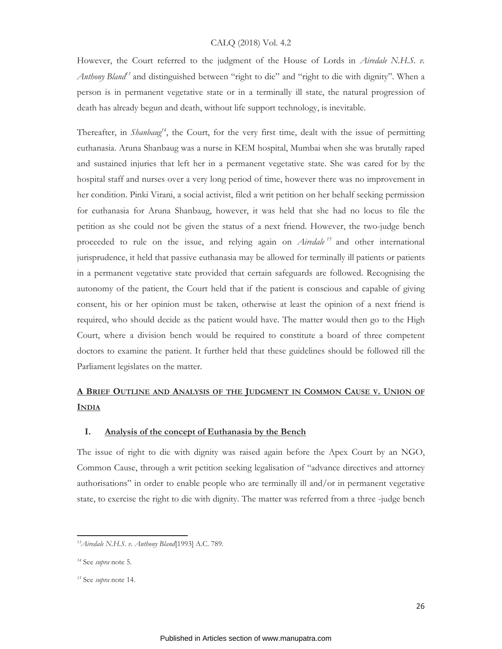However, the Court referred to the judgment of the House of Lords in *Airedale N.H.S. v. Anthony Bland<sup>13</sup>* and distinguished between "right to die" and "right to die with dignity". When a person is in permanent vegetative state or in a terminally ill state, the natural progression of death has already begun and death, without life support technology, is inevitable.

Thereafter, in *Shanbaug<sup>14</sup>*, the Court, for the very first time, dealt with the issue of permitting euthanasia. Aruna Shanbaug was a nurse in KEM hospital, Mumbai when she was brutally raped and sustained injuries that left her in a permanent vegetative state. She was cared for by the hospital staff and nurses over a very long period of time, however there was no improvement in her condition. Pinki Virani, a social activist, filed a writ petition on her behalf seeking permission for euthanasia for Aruna Shanbaug, however, it was held that she had no locus to file the petition as she could not be given the status of a next friend. However, the two-judge bench proceeded to rule on the issue, and relying again on *Airedale*<sup>15</sup> and other international jurisprudence, it held that passive euthanasia may be allowed for terminally ill patients or patients in a permanent vegetative state provided that certain safeguards are followed. Recognising the autonomy of the patient, the Court held that if the patient is conscious and capable of giving consent, his or her opinion must be taken, otherwise at least the opinion of a next friend is required, who should decide as the patient would have. The matter would then go to the High Court, where a division bench would be required to constitute a board of three competent doctors to examine the patient. It further held that these guidelines should be followed till the Parliament legislates on the matter.

## **A BRIEF OUTLINE AND ANALYSIS OF THE JUDGMENT IN COMMON CAUSE V. UNION OF INDIA**

### **I. Analysis of the concept of Euthanasia by the Bench**

The issue of right to die with dignity was raised again before the Apex Court by an NGO, Common Cause, through a writ petition seeking legalisation of "advance directives and attorney authorisations" in order to enable people who are terminally ill and/or in permanent vegetative state, to exercise the right to die with dignity. The matter was referred from a three -judge bench

*<sup>13</sup>Airedale N.H.S. v. Anthony Bland*[1993] A.C. 789.

*<sup>14</sup>* See *supra* note 5.

*<sup>15</sup>* See *supra* note 14.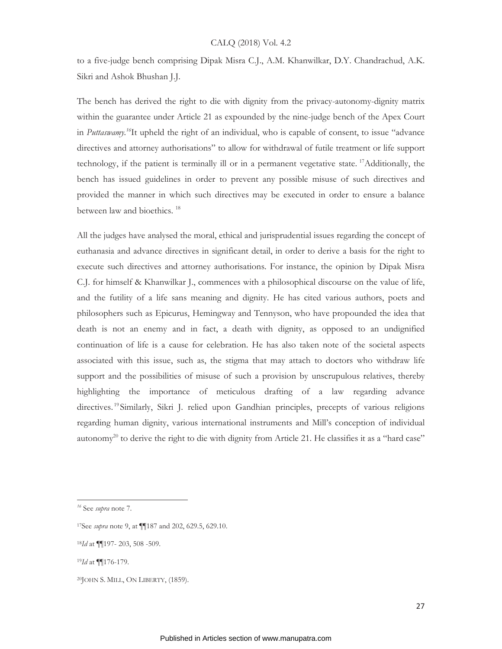to a five-judge bench comprising Dipak Misra C.J., A.M. Khanwilkar, D.Y. Chandrachud, A.K. Sikri and Ashok Bhushan J.J.

The bench has derived the right to die with dignity from the privacy-autonomy-dignity matrix within the guarantee under Article 21 as expounded by the nine-judge bench of the Apex Court in *Puttaswamy.<sup>16</sup>*It upheld the right of an individual, who is capable of consent, to issue "advance directives and attorney authorisations" to allow for withdrawal of futile treatment or life support technology, if the patient is terminally ill or in a permanent vegetative state. <sup>17</sup>Additionally, the bench has issued guidelines in order to prevent any possible misuse of such directives and provided the manner in which such directives may be executed in order to ensure a balance between law and bioethics. <sup>18</sup>

All the judges have analysed the moral, ethical and jurisprudential issues regarding the concept of euthanasia and advance directives in significant detail, in order to derive a basis for the right to execute such directives and attorney authorisations. For instance, the opinion by Dipak Misra C.J. for himself & Khanwilkar J., commences with a philosophical discourse on the value of life, and the futility of a life sans meaning and dignity. He has cited various authors, poets and philosophers such as Epicurus, Hemingway and Tennyson, who have propounded the idea that death is not an enemy and in fact, a death with dignity, as opposed to an undignified continuation of life is a cause for celebration. He has also taken note of the societal aspects associated with this issue, such as, the stigma that may attach to doctors who withdraw life support and the possibilities of misuse of such a provision by unscrupulous relatives, thereby highlighting the importance of meticulous drafting of a law regarding advance directives.<sup>19</sup>Similarly, Sikri J. relied upon Gandhian principles, precepts of various religions regarding human dignity, various international instruments and Mill's conception of individual autonomy<sup>20</sup> to derive the right to die with dignity from Article 21. He classifies it as a "hard case"

*<sup>16</sup>* See *supra* note 7.

<sup>17</sup>See *supra* note 9, at ¶¶187 and 202, 629.5, 629.10.

<sup>18</sup>*Id* at ¶¶197- 203, 508 -509.

<sup>19</sup>*Id* at ¶¶176-179.

<sup>20</sup>JOHN S. MILL, ON LIBERTY, (1859).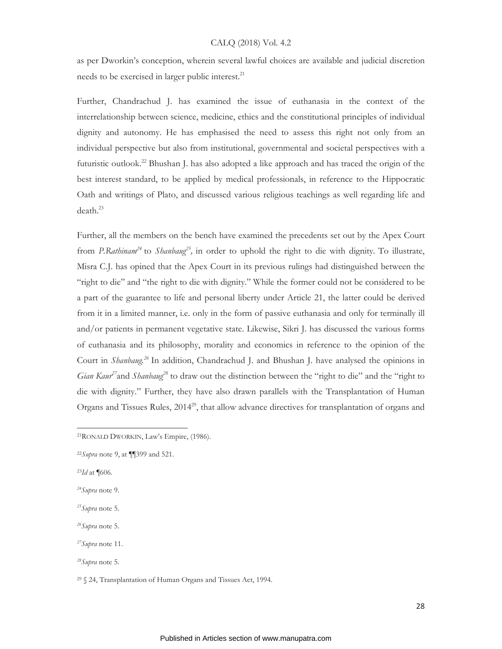as per Dworkin's conception, wherein several lawful choices are available and judicial discretion needs to be exercised in larger public interest.<sup>21</sup>

Further, Chandrachud J. has examined the issue of euthanasia in the context of the interrelationship between science, medicine, ethics and the constitutional principles of individual dignity and autonomy. He has emphasised the need to assess this right not only from an individual perspective but also from institutional, governmental and societal perspectives with a futuristic outlook.<sup>22</sup> Bhushan J. has also adopted a like approach and has traced the origin of the best interest standard, to be applied by medical professionals, in reference to the Hippocratic Oath and writings of Plato, and discussed various religious teachings as well regarding life and death.<sup>23</sup>

Further, all the members on the bench have examined the precedents set out by the Apex Court from *P.Rathinam<sup>24</sup>* to *Shanbaug<sup>25</sup>*, in order to uphold the right to die with dignity. To illustrate, Misra C.J. has opined that the Apex Court in its previous rulings had distinguished between the "right to die" and "the right to die with dignity." While the former could not be considered to be a part of the guarantee to life and personal liberty under Article 21, the latter could be derived from it in a limited manner, i.e. only in the form of passive euthanasia and only for terminally ill and/or patients in permanent vegetative state. Likewise, Sikri J. has discussed the various forms of euthanasia and its philosophy, morality and economics in reference to the opinion of the Court in *Shanbaug.<sup>26</sup>* In addition, Chandrachud J. and Bhushan J. have analysed the opinions in *Gian Kaur<sup>27</sup>*and *Shanbaug<sup>28</sup>* to draw out the distinction between the "right to die" and the "right to die with dignity." Further, they have also drawn parallels with the Transplantation of Human Organs and Tissues Rules, 2014<sup>29</sup>, that allow advance directives for transplantation of organs and

<sup>21</sup>RONALD DWORKIN, Law's Empire, (1986).

<sup>22</sup>*Supra* note 9, at ¶¶399 and 521.

<sup>23</sup>*Id* at ¶606.

*<sup>24</sup>Supra* note 9.

*<sup>25</sup>Supra* note 5.

*<sup>26</sup>Supra* note 5.

*<sup>27</sup>Supra* note 11.

*<sup>28</sup>Supra* note 5.

<sup>29</sup> § 24, Transplantation of Human Organs and Tissues Act, 1994.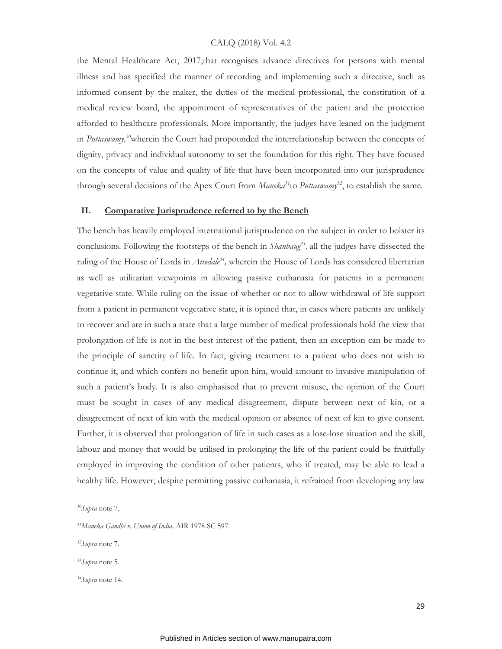the Mental Healthcare Act, 2017,that recognises advance directives for persons with mental illness and has specified the manner of recording and implementing such a directive, such as informed consent by the maker, the duties of the medical professional, the constitution of a medical review board, the appointment of representatives of the patient and the protection afforded to healthcare professionals. More importantly, the judges have leaned on the judgment in *Puttaswamy,<sup>30</sup>*wherein the Court had propounded the interrelationship between the concepts of dignity, privacy and individual autonomy to set the foundation for this right. They have focused on the concepts of value and quality of life that have been incorporated into our jurisprudence through several decisions of the Apex Court from *Maneka<sup>31</sup>*to *Puttaswamy<sup>32</sup>*, to establish the same.

#### **II. Comparative Jurisprudence referred to by the Bench**

The bench has heavily employed international jurisprudence on the subject in order to bolster its conclusions. Following the footsteps of the bench in *Shanbaug<sup>33</sup>*, all the judges have dissected the ruling of the House of Lords in *Airedale<sup>34</sup>*, wherein the House of Lords has considered libertarian as well as utilitarian viewpoints in allowing passive euthanasia for patients in a permanent vegetative state. While ruling on the issue of whether or not to allow withdrawal of life support from a patient in permanent vegetative state, it is opined that, in cases where patients are unlikely to recover and are in such a state that a large number of medical professionals hold the view that prolongation of life is not in the best interest of the patient, then an exception can be made to the principle of sanctity of life. In fact, giving treatment to a patient who does not wish to continue it, and which confers no benefit upon him, would amount to invasive manipulation of such a patient's body. It is also emphasised that to prevent misuse, the opinion of the Court must be sought in cases of any medical disagreement, dispute between next of kin, or a disagreement of next of kin with the medical opinion or absence of next of kin to give consent. Further, it is observed that prolongation of life in such cases as a lose-lose situation and the skill, labour and money that would be utilised in prolonging the life of the patient could be fruitfully employed in improving the condition of other patients, who if treated, may be able to lead a healthy life. However, despite permitting passive euthanasia, it refrained from developing any law

*<sup>30</sup>Supra* note 7.

*<sup>31</sup>Maneka Gandhi v. Union of India,* AIR 1978 SC 597.

*<sup>32</sup>Supra* note 7.

*<sup>33</sup>Supra* note 5.

*<sup>34</sup>Supra* note 14.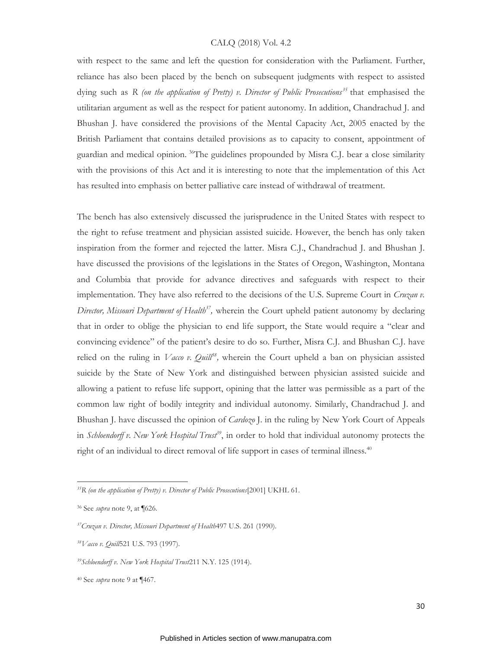with respect to the same and left the question for consideration with the Parliament. Further, reliance has also been placed by the bench on subsequent judgments with respect to assisted dying such as *R (on the application of Pretty) v. Director of Public Prosecutions<sup>35</sup>* that emphasised the utilitarian argument as well as the respect for patient autonomy. In addition, Chandrachud J. and Bhushan J. have considered the provisions of the Mental Capacity Act, 2005 enacted by the British Parliament that contains detailed provisions as to capacity to consent, appointment of guardian and medical opinion. <sup>36</sup>The guidelines propounded by Misra C.J. bear a close similarity with the provisions of this Act and it is interesting to note that the implementation of this Act has resulted into emphasis on better palliative care instead of withdrawal of treatment.

The bench has also extensively discussed the jurisprudence in the United States with respect to the right to refuse treatment and physician assisted suicide. However, the bench has only taken inspiration from the former and rejected the latter. Misra C.J., Chandrachud J. and Bhushan J. have discussed the provisions of the legislations in the States of Oregon, Washington, Montana and Columbia that provide for advance directives and safeguards with respect to their implementation. They have also referred to the decisions of the U.S. Supreme Court in *Cruzan v. Director, Missouri Department of Health<sup>37</sup> ,* wherein the Court upheld patient autonomy by declaring that in order to oblige the physician to end life support, the State would require a "clear and convincing evidence" of the patient's desire to do so. Further, Misra C.J. and Bhushan C.J. have relied on the ruling in *Vacco v. Quill<sup>38</sup>*, wherein the Court upheld a ban on physician assisted suicide by the State of New York and distinguished between physician assisted suicide and allowing a patient to refuse life support, opining that the latter was permissible as a part of the common law right of bodily integrity and individual autonomy. Similarly, Chandrachud J. and Bhushan J. have discussed the opinion of *Cardozo* J. in the ruling by New York Court of Appeals in *Schloendorff v. New York Hospital Trust<sup>39</sup>*, in order to hold that individual autonomy protects the right of an individual to direct removal of life support in cases of terminal illness.<sup>40</sup>

*<sup>35</sup>R (on the application of Pretty) v. Director of Public Prosecutions*[2001] UKHL 61.

<sup>36</sup> See *supra* note 9, at ¶626.

*<sup>37</sup>Cruzan v. Director, Missouri Department of Health*497 U.S. 261 (1990).

*<sup>38</sup>Vacco v. Quill*521 U.S. 793 (1997).

*<sup>39</sup>Schloendorff v. New York Hospital Trust*211 N.Y. 125 (1914).

<sup>40</sup> See *supra* note 9 at ¶467.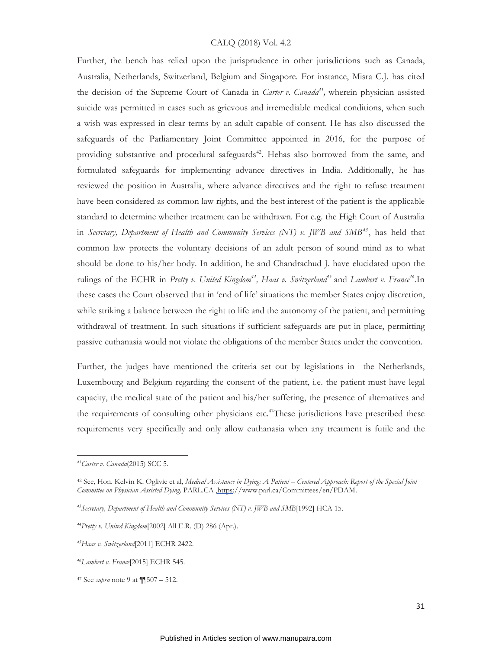Further, the bench has relied upon the jurisprudence in other jurisdictions such as Canada, Australia, Netherlands, Switzerland, Belgium and Singapore. For instance, Misra C.J. has cited the decision of the Supreme Court of Canada in *Carter v. Canada<sup>41</sup>*, wherein physician assisted suicide was permitted in cases such as grievous and irremediable medical conditions, when such a wish was expressed in clear terms by an adult capable of consent. He has also discussed the safeguards of the Parliamentary Joint Committee appointed in 2016, for the purpose of providing substantive and procedural safeguards<sup>42</sup>. Hehas also borrowed from the same, and formulated safeguards for implementing advance directives in India. Additionally, he has reviewed the position in Australia, where advance directives and the right to refuse treatment have been considered as common law rights, and the best interest of the patient is the applicable standard to determine whether treatment can be withdrawn. For e.g. the High Court of Australia in *Secretary, Department of Health and Community Services (NT) v. JWB and SMB<sup>43</sup>* , has held that common law protects the voluntary decisions of an adult person of sound mind as to what should be done to his/her body. In addition, he and Chandrachud J. have elucidated upon the rulings of the ECHR in *Pretty v. United Kingdom<sup>44</sup>, Haas v. Switzerland<sup>45</sup>* and *Lambert v. France<sup>46</sup> .*In these cases the Court observed that in 'end of life' situations the member States enjoy discretion, while striking a balance between the right to life and the autonomy of the patient, and permitting withdrawal of treatment. In such situations if sufficient safeguards are put in place, permitting passive euthanasia would not violate the obligations of the member States under the convention.

Further, the judges have mentioned the criteria set out by legislations in the Netherlands, Luxembourg and Belgium regarding the consent of the patient, i.e. the patient must have legal capacity, the medical state of the patient and his/her suffering, the presence of alternatives and the requirements of consulting other physicians etc.<sup>47</sup>These jurisdictions have prescribed these requirements very specifically and only allow euthanasia when any treatment is futile and the

*<sup>41</sup>Carter v. Canada*(2015) SCC 5.

<sup>42</sup> See, Hon. Kelvin K. Oglivie et al, *Medical Assistance in Dying: A Patient – Centered Approach: Report of the Special Joint*  Committee on Physician Assisted Dying, PARL.CA, https://www.parl.ca/Committees/en/PDAM.

*<sup>43</sup>Secretary, Department of Health and Community Services (NT) v. JWB and SMB*[1992] HCA 15.

*<sup>44</sup>Pretty v. United Kingdom*[2002] All E.R. (D) 286 (Apr.).

*<sup>45</sup>Haas v. Switzerland*[2011] ECHR 2422.

*<sup>46</sup>Lambert v. France*[2015] ECHR 545.

<sup>47</sup> See *supra* note 9 at ¶¶507 – 512.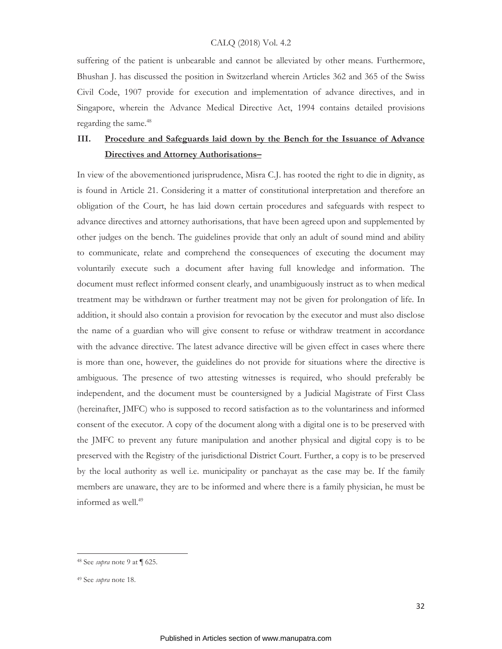suffering of the patient is unbearable and cannot be alleviated by other means. Furthermore, Bhushan J. has discussed the position in Switzerland wherein Articles 362 and 365 of the Swiss Civil Code, 1907 provide for execution and implementation of advance directives, and in Singapore, wherein the Advance Medical Directive Act, 1994 contains detailed provisions regarding the same.<sup>48</sup>

## **III. Procedure and Safeguards laid down by the Bench for the Issuance of Advance Directives and Attorney Authorisations–**

In view of the abovementioned jurisprudence, Misra C.J. has rooted the right to die in dignity, as is found in Article 21. Considering it a matter of constitutional interpretation and therefore an obligation of the Court, he has laid down certain procedures and safeguards with respect to advance directives and attorney authorisations, that have been agreed upon and supplemented by other judges on the bench. The guidelines provide that only an adult of sound mind and ability to communicate, relate and comprehend the consequences of executing the document may voluntarily execute such a document after having full knowledge and information. The document must reflect informed consent clearly, and unambiguously instruct as to when medical treatment may be withdrawn or further treatment may not be given for prolongation of life. In addition, it should also contain a provision for revocation by the executor and must also disclose the name of a guardian who will give consent to refuse or withdraw treatment in accordance with the advance directive. The latest advance directive will be given effect in cases where there is more than one, however, the guidelines do not provide for situations where the directive is ambiguous. The presence of two attesting witnesses is required, who should preferably be independent, and the document must be countersigned by a Judicial Magistrate of First Class (hereinafter, JMFC) who is supposed to record satisfaction as to the voluntariness and informed consent of the executor. A copy of the document along with a digital one is to be preserved with the JMFC to prevent any future manipulation and another physical and digital copy is to be preserved with the Registry of the jurisdictional District Court. Further, a copy is to be preserved by the local authority as well i.e. municipality or panchayat as the case may be. If the family members are unaware, they are to be informed and where there is a family physician, he must be informed as well.<sup>49</sup>

<sup>48</sup> See *supra* note 9 at ¶ 625.

<sup>49</sup> See *supra* note 18.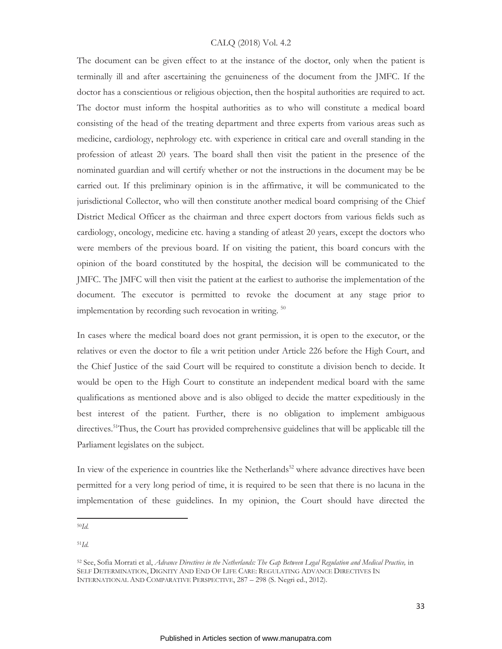The document can be given effect to at the instance of the doctor, only when the patient is terminally ill and after ascertaining the genuineness of the document from the JMFC. If the doctor has a conscientious or religious objection, then the hospital authorities are required to act. The doctor must inform the hospital authorities as to who will constitute a medical board consisting of the head of the treating department and three experts from various areas such as medicine, cardiology, nephrology etc. with experience in critical care and overall standing in the profession of atleast 20 years. The board shall then visit the patient in the presence of the nominated guardian and will certify whether or not the instructions in the document may be be carried out. If this preliminary opinion is in the affirmative, it will be communicated to the jurisdictional Collector, who will then constitute another medical board comprising of the Chief District Medical Officer as the chairman and three expert doctors from various fields such as cardiology, oncology, medicine etc. having a standing of atleast 20 years, except the doctors who were members of the previous board. If on visiting the patient, this board concurs with the opinion of the board constituted by the hospital, the decision will be communicated to the JMFC. The JMFC will then visit the patient at the earliest to authorise the implementation of the document. The executor is permitted to revoke the document at any stage prior to implementation by recording such revocation in writing.<sup>50</sup>

In cases where the medical board does not grant permission, it is open to the executor, or the relatives or even the doctor to file a writ petition under Article 226 before the High Court, and the Chief Justice of the said Court will be required to constitute a division bench to decide. It would be open to the High Court to constitute an independent medical board with the same qualifications as mentioned above and is also obliged to decide the matter expeditiously in the best interest of the patient. Further, there is no obligation to implement ambiguous directives.<sup>51</sup>Thus, the Court has provided comprehensive guidelines that will be applicable till the Parliament legislates on the subject.

In view of the experience in countries like the Netherlands<sup>52</sup> where advance directives have been permitted for a very long period of time, it is required to be seen that there is no lacuna in the implementation of these guidelines. In my opinion, the Court should have directed the

 $\overline{a}$ <sup>50</sup>*Id.*

<sup>51</sup>*Id.* 

<sup>52</sup> See, Sofia Morrati et al, *Advance Directives in the Netherlands: The Gap Between Legal Regulation and Medical Practice,* in SELF DETERMINATION, DIGNITY AND END OF LIFE CARE: REGULATING ADVANCE DIRECTIVES IN INTERNATIONAL AND COMPARATIVE PERSPECTIVE, 287 – 298 (S. Negri ed., 2012).